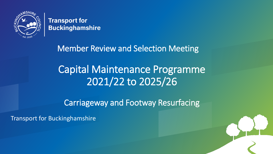

**Transport for Buckinghamshire** 

Member Review and Selection Meeting

#### Click to edit Master title style Click to edit Master title style Capital Maintenance Programme 2021/22 to 2025/26

Carriageway and Footway Resurfacing

22/2021 - 22/2021 - 22/2021 - 22/2021 - 22/2021 - 22/2021 - 22/2021 - 22/2021 - 22/2021 - 22/2021 - 22/2021 - 2

Transport for Buckinghamshire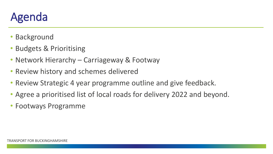# Agenda

- Background
- Budgets & Prioritising
- Network Hierarchy Carriageway & Footway
- Review history and schemes delivered
- Review Strategic 4 year programme outline and give feedback.
- Agree a prioritised list of local roads for delivery 2022 and beyond.
- Footways Programme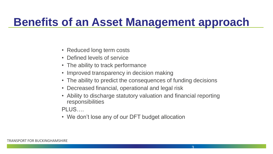#### **Benefits of an Asset Management approach**

- Reduced long term costs
- Defined levels of service
- The ability to track performance
- Improved transparency in decision making
- The ability to predict the consequences of funding decisions
- Decreased financial, operational and legal risk
- Ability to discharge statutory valuation and financial reporting responsibilities

PLUS….

• We don't lose any of our DFT budget allocation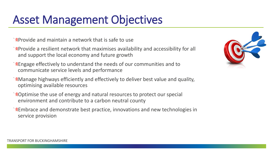## Asset Management Objectives

 $\sqrt{\alpha}$ Provide and maintain a network that is safe to use

- **Provide a resilient network that maximises availability and accessibility for all** and support the local economy and future growth
- Engage effectively to understand the needs of our communities and to communicate service levels and performance
- **Manage highways efficiently and effectively to deliver best value and quality,** optimising available resources
- **Roptimise the use of energy and natural resources to protect our special** environment and contribute to a carbon neutral county
- **Embrace and demonstrate best practice, innovations and new technologies in** service provision

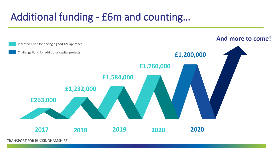#### Additional funding - £6m and counting…



TRANSPORT FOR BUCKINGHAMSHIRE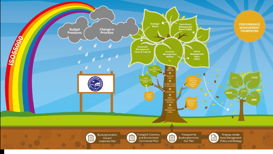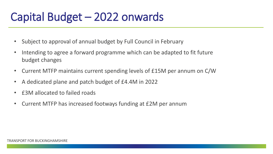# Capital Budget – 2022 onwards

- Subject to approval of annual budget by Full Council in February
- Intending to agree a forward programme which can be adapted to fit future budget changes
- Current MTFP maintains current spending levels of £15M per annum on C/W
- A dedicated plane and patch budget of £4.4M in 2022
- £3M allocated to failed roads
- Current MTFP has increased footways funding at £2M per annum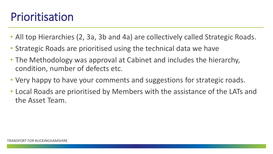#### Prioritisation

- All top Hierarchies (2, 3a, 3b and 4a) are collectively called Strategic Roads.
- Strategic Roads are prioritised using the technical data we have
- The Methodology was approval at Cabinet and includes the hierarchy, condition, number of defects etc.
- Very happy to have your comments and suggestions for strategic roads.
- Local Roads are prioritised by Members with the assistance of the LATs and the Asset Team.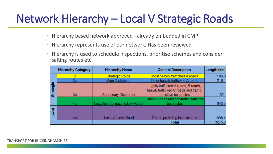## Network Hierarchy – Local V Strategic Roads

- Hierarchy based network approved already embedded in CMP
- Hierarchy represents use of our network. Has been reviewed
- Hierarchy is used to schedule inspections, prioritise schemes and consider salting routes etc.

|                  | <b>Hierarchy Category</b> | <b>Hierarchy Name</b>           | <b>General Description</b>                                                      | Length (km) |
|------------------|---------------------------|---------------------------------|---------------------------------------------------------------------------------|-------------|
|                  | 2                         | <b>Strategic Route</b>          | Most heavily trafficked A roads                                                 | 196.8       |
|                  | 3a                        | <b>Main Distributor</b>         | Other heavily trafficked A roads                                                | 216.1       |
| <b>Strategic</b> |                           |                                 | Lightly trafficked A roads, B roads,<br>heavily trafficked C roads and traffic- |             |
|                  | 3 <sub>b</sub>            | <b>Secondary Distributor</b>    | sensitive bus routes                                                            | 521         |
|                  | 4a                        | Local Interconnecting Link Road | Other C roads and non-traffic sensitive<br>bus routes                           | 643.5       |
| ocal             | 4 <sub>b</sub>            | <b>Local Access Road</b>        | Roads providing local access                                                    | 1698.4      |
|                  |                           |                                 | <b>Total</b>                                                                    | 3275.8      |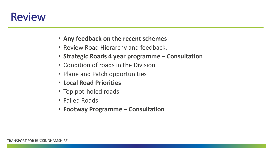# Review

- **Any feedback on the recent schemes**
- Review Road Hierarchy and feedback.
- **Strategic Roads 4 year programme – Consultation**
- Condition of roads in the Division
- Plane and Patch opportunities
- **Local Road Priorities**
- Top pot-holed roads
- Failed Roads
- **Footway Programme – Consultation**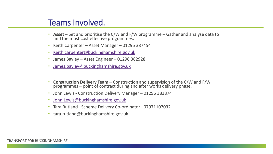#### Teams Involved.

- **Asset** Set and prioritise the C/W and F/W programme Gather and analyse data to find the most cost effective programmes.
- Keith Carpenter Asset Manager 01296 387454
- [Keith.carpenter@buckinghamshire.gov.uk](mailto:Keith.carpenter@buckinghamshire.gov.uk)
- James Bayley Asset Engineer 01296 382928
- [James.bayley@buckinghamshire.gov.uk](mailto:James.bayley@buckinghamshire.gov.uk)
- **Construction Delivery Team**  Construction and supervision of the C/W and F/W programmes – point of contract during and after works delivery phase.
- John Lewis Construction Delivery Manager 01296 383874
- [John.Lewis@buckinghamshire.gov.uk](mailto:John.Lewis@buckinghamshire.gov.uk)
- Tara Rutland– Scheme Delivery Co-ordinator –07971107032
- [tara.rutland@buckinghamshire.gov.uk](mailto:tara.rutland@buckinghamshire.gov.uk)